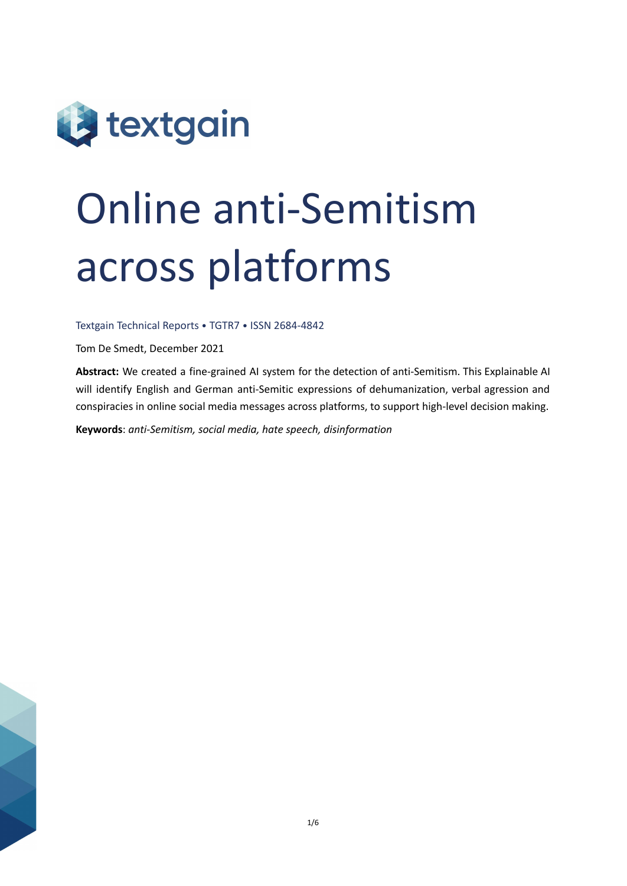

# Online anti-Semitism across platforms

Textgain Technical Reports • TGTR7 • ISSN 2684-4842

Tom De Smedt, December 2021

**Abstract:** We created a fine-grained AI system for the detection of anti-Semitism. This Explainable AI will identify English and German anti-Semitic expressions of dehumanization, verbal agression and conspiracies in online social media messages across platforms, to support high-level decision making.

**Keywords**: *anti-Semitism, social media, hate speech, disinformation*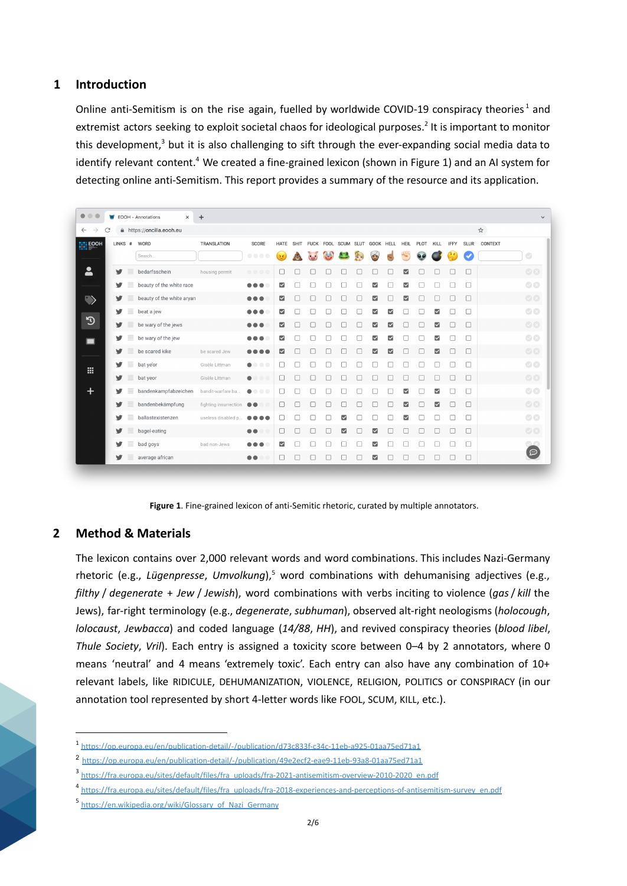## **1 Introduction**

Online anti-Semitism is on the rise again, fuelled by worldwide COVID-19 conspiracy theories<sup>1</sup> and extremist actors seeking to exploit societal chaos for ideological purposes.<sup>2</sup> It is important to monitor this development,<sup>3</sup> but it is also challenging to sift through the ever-expanding social media data to identify relevant content.<sup>4</sup> We created a fine-grained lexicon (shown in Figure 1) and an AI system for detecting online anti-Semitism. This report provides a summary of the resource and its application.

| C                           |          | A https://oncilla.eooh.eu |                       |                                                                      |                         |             |             |           |   |             |                         |      |                         |           |                          |             |             | ☆       |                      |
|-----------------------------|----------|---------------------------|-----------------------|----------------------------------------------------------------------|-------------------------|-------------|-------------|-----------|---|-------------|-------------------------|------|-------------------------|-----------|--------------------------|-------------|-------------|---------|----------------------|
| <b>HELEOOH</b><br>$LINKS$ # |          | WORD                      | <b>TRANSLATION</b>    | <b>SCORE</b>                                                         | HATE                    | <b>SHIT</b> | <b>FUCK</b> | FOOL SCUM |   | <b>SLUT</b> | GOOK                    | HELL | HEIL                    | PLOT      | KILL                     | <b>IFFY</b> | <b>SLUR</b> | CONTEXT |                      |
|                             |          | Search                    |                       | $\begin{array}{c} \bullet & \bullet & \bullet & \bullet \end{array}$ | $\mathcal{F}$           | 00          | $(\square)$ | <b>CO</b> |   | A           | $\bullet$               |      |                         | $\bullet$ |                          | îΓ          |             |         | $\bigcirc$           |
| v                           |          | bedarfsschein             | housing permit        |                                                                      | $\Box$                  |             |             |           |   |             |                         |      | ☑                       |           |                          |             | $\Box$      |         | $\bigcirc$ $\otimes$ |
| v                           | ≡        | beauty of the white race  |                       | $\bullet\bullet\bullet$                                              | $\overline{\mathbf{v}}$ |             |             |           |   |             | ☑                       |      | $\overline{\mathbf{v}}$ |           |                          |             | П           |         | $\bigcirc$           |
| v                           | ≡        | beauty of the white aryan |                       | $\bullet\bullet\bullet$                                              | $\overline{\mathbf{S}}$ |             | □           |           |   |             | $\overline{\mathbf{v}}$ |      | ☑                       |           | □                        | $\Box$      | $\Box$      |         | $\bigcirc$ $\infty$  |
| v                           | ≡        | beat a jew                |                       | $\bullet\bullet\bullet$                                              | $\overline{\mathbf{v}}$ |             |             |           |   |             | ☑                       | ☑    |                         |           | ☑                        |             | □           |         | $\bigcirc$           |
| v                           | ≣        | be wary of the jews       |                       | $\bullet\bullet\bullet$                                              | ☑                       |             |             |           |   |             | M                       | M    |                         |           | ⊠                        |             | □           |         | $\circ$              |
| v                           | ≡        | be wary of the jew        |                       | $\bullet\bullet\bullet$                                              | $\overline{\mathbf{v}}$ |             |             |           |   |             | ☑                       | ☑    |                         |           | $\overline{\mathbf{v}}$  |             |             |         | $\circ$              |
| v                           | $\equiv$ | be scared kike            | be scared Jew         | $\bullet\bullet\bullet\bullet$                                       | ☑                       |             |             |           |   |             | ☑                       | ☑    |                         |           | $\overline{\mathbf{v}}$  |             | $\Box$      |         | $\circ$              |
| v                           | ≡        | bat ye'or                 | Gisèle Littman        | $\bullet$<br>$\bullet$ $\bullet$ $\bullet$                           | □                       |             |             |           |   |             |                         |      |                         |           |                          |             | о           |         | $\bigcirc$           |
| v                           | ≣        | bat yeor                  | Gisèle Littman        | $\bullet$<br>$\bullet$                                               | П                       |             |             |           |   |             |                         |      |                         |           | П                        |             | $\Box$      |         | $\circ$              |
|                             |          | bandenkampfabzeichen      | bandit-warfare ba     | $\bullet$<br>$\bullet$ $\bullet$ $\bullet$                           | □                       |             |             |           |   |             |                         |      | $\overline{\mathsf{v}}$ |           | $\overline{\mathbf{v}}$  |             | П           |         | $\bigcirc$ $\otimes$ |
|                             | ≡        | bandenbekämpfung          | fighting insurrection | $\bullet\bullet$<br>œ                                                | 0                       | $\Box$      | П           | □         |   | Г           | п                       | П    | ☑                       |           | $\overline{\phantom{a}}$ | П           | $\Box$      |         | $\bigcirc$ $\otimes$ |
|                             | Ξ        | ballastexistenzen         | useless disabled p    |                                                                      | П                       |             |             |           | M |             |                         |      | $\overline{\mathsf{v}}$ |           |                          |             | 0           |         | $\bigcirc$ $\otimes$ |
|                             |          | bagel-eating              |                       | $\bullet\bullet$                                                     | $\Box$                  |             |             |           | ☑ |             | ☑                       |      |                         |           |                          |             | $\Box$      |         | $\bigcirc$ (x)       |
|                             | ≣        | bad goys                  | bad non-Jews          | $\bullet\bullet\bullet$                                              | $\overline{\mathbf{v}}$ |             |             |           |   |             | ☑                       |      |                         |           |                          |             | u           |         | $\sim$ $\sim$        |
| v                           | ≣        | average african           |                       | $\bullet\bullet$                                                     | □                       |             |             |           |   |             | М                       |      |                         |           |                          |             | $\Box$      |         | (ල                   |

**Figure 1**. Fine-grained lexicon of anti-Semitic rhetoric, curated by multiple annotators.

## **2 Method & Materials**

The lexicon contains over 2,000 relevant words and word combinations. This includes Nazi-Germany rhetoric (e.g., *Lügenpresse*, *Umvolkung*), <sup>5</sup> word combinations with dehumanising adjectives (e.g., *filthy* / *degenerate* + *Jew* / *Jewish*), word combinations with verbs inciting to violence (*gas*/ *kill* the Jews), far-right terminology (e.g., *degenerate*, *subhuman*), observed alt-right neologisms (*holocough*, *lolocaust*, *Jewbacca*) and coded language (*14/88*, *HH*), and revived conspiracy theories (*blood libel*, *Thule Society*, *Vril*). Each entry is assigned a toxicity score between 0–4 by 2 annotators, where 0 means 'neutral' and 4 means 'extremely toxic'. Each entry can also have any combination of 10+ relevant labels, like RIDICULE, DEHUMANIZATION, VIOLENCE, RELIGION, POLITICS or CONSPIRACY (in our annotation tool represented by short 4-letter words like FOOL, SCUM, KILL, etc.).

<sup>1</sup> <https://op.europa.eu/en/publication-detail/-/publication/d73c833f-c34c-11eb-a925-01aa75ed71a1>

<sup>2</sup> <https://op.europa.eu/en/publication-detail/-/publication/49e2ecf2-eae9-11eb-93a8-01aa75ed71a1>

<sup>3</sup> [https://fra.europa.eu/sites/default/files/fra\\_uploads/fra-2021-antisemitism-overview-2010-2020\\_en.pdf](https://fra.europa.eu/sites/default/files/fra_uploads/fra-2021-antisemitism-overview-2010-2020_en.pdf)

<sup>4</sup> [https://fra.europa.eu/sites/default/files/fra\\_uploads/fra-2018-experiences-and-perceptions-of-antisemitism-survey\\_en.pdf](https://fra.europa.eu/sites/default/files/fra_uploads/fra-2018-experiences-and-perceptions-of-antisemitism-survey_en.pdf)

<sup>&</sup>lt;sup>5</sup> [https://en.wikipedia.org/wiki/Glossary\\_of\\_Nazi\\_Germany](https://en.wikipedia.org/wiki/Glossary_of_Nazi_Germany)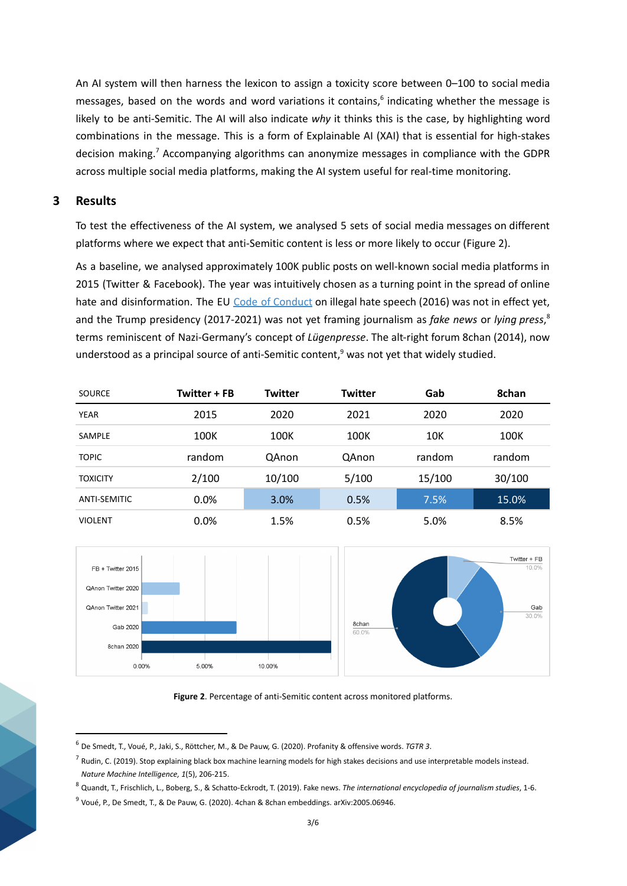An AI system will then harness the lexicon to assign a toxicity score between 0–100 to social media messages, based on the words and word variations it contains,<sup>6</sup> indicating whether the message is likely to be anti-Semitic. The AI will also indicate *why* it thinks this is the case, by highlighting word combinations in the message. This is a form of Explainable AI (XAI) that is essential for high-stakes decision making.<sup>7</sup> Accompanying algorithms can anonymize messages in compliance with the GDPR across multiple social media platforms, making the AI system useful for real-time monitoring.

#### **3 Results**

To test the effectiveness of the AI system, we analysed 5 sets of social media messages on different platforms where we expect that anti-Semitic content is less or more likely to occur (Figure 2).

As a baseline, we analysed approximately 100K public posts on well-known social media platforms in 2015 (Twitter & Facebook). The year was intuitively chosen as a turning point in the spread of online hate and disinformation. The EU Code of [Conduct](https://ec.europa.eu/info/policies/justice-and-fundamental-rights/combatting-discrimination/racism-and-xenophobia/eu-code-conduct-countering-illegal-hate-speech-online_en) on illegal hate speech (2016) was not in effect yet, and the Trump presidency (2017-2021) was not yet framing journalism as *fake news* or *lying press*, 8 terms reminiscent of Nazi-Germany's concept of *Lügenpresse*. The alt-right forum 8chan (2014), now understood as a principal source of anti-Semitic content, <sup>9</sup> was not yet that widely studied.

| <b>SOURCE</b>       | Twitter + FB | <b>Twitter</b> | <b>Twitter</b> | Gab    | 8chan  |  |  |
|---------------------|--------------|----------------|----------------|--------|--------|--|--|
| <b>YEAR</b>         | 2015         | 2020           | 2021           | 2020   | 2020   |  |  |
| <b>SAMPLE</b>       | 100K         | 100K           | 100K           | 10K    | 100K   |  |  |
| <b>TOPIC</b>        | random       | QAnon          | QAnon          | random | random |  |  |
| <b>TOXICITY</b>     | 2/100        | 10/100         | 5/100          | 15/100 | 30/100 |  |  |
| <b>ANTI-SEMITIC</b> | 0.0%         | 3.0%           | 0.5%           | 7.5%   | 15.0%  |  |  |
| <b>VIOLENT</b>      | 0.0%         | 1.5%           | 0.5%           | 5.0%   | 8.5%   |  |  |



**Figure 2**. Percentage of anti-Semitic content across monitored platforms.

<sup>6</sup> De Smedt, T., Voué, P., Jaki, S., Röttcher, M., & De Pauw, G. (2020). Profanity & offensive words. *TGTR 3*.

 $^7$  Rudin, C. (2019). Stop explaining black box machine learning models for high stakes decisions and use interpretable models instead. *Nature Machine Intelligence, 1*(5), 206-215.

<sup>8</sup> Quandt, T., Frischlich, L., Boberg, S., & Schatto‐Eckrodt, T. (2019). Fake news. *The international encyclopedia of journalism studies*, 1-6.

<sup>9</sup> Voué, P., De Smedt, T., & De Pauw, G. (2020). 4chan & 8chan embeddings. arXiv:2005.06946.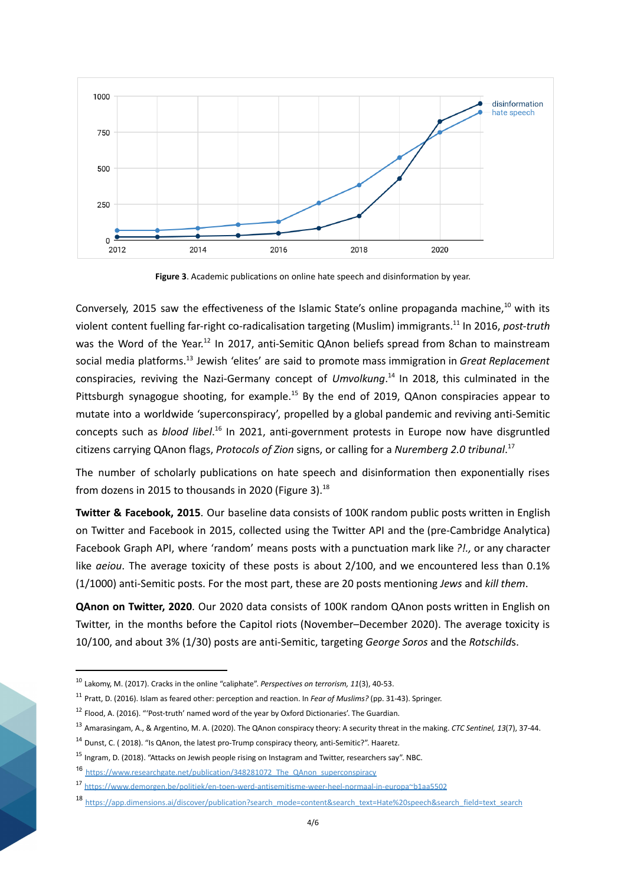

**Figure 3**. Academic publications on online hate speech and disinformation by year.

Conversely, 2015 saw the effectiveness of the Islamic State's online propaganda machine,<sup>10</sup> with its violent content fuelling far-right co-radicalisation targeting (Muslim) immigrants.<sup>11</sup> In 2016, *post-truth* was the Word of the Year.<sup>12</sup> In 2017, anti-Semitic QAnon beliefs spread from 8chan to mainstream social media platforms. 13 Jewish 'elites' are said to promote mass immigration in *Great Replacement* conspiracies, reviving the Nazi-Germany concept of *Umvolkung*. 14 In 2018, this culminated in the Pittsburgh synagogue shooting, for example.<sup>15</sup> By the end of 2019, QAnon conspiracies appear to mutate into a worldwide 'superconspiracy', propelled by a global pandemic and reviving anti-Semitic concepts such as *blood libel*. 16 In 2021, anti-government protests in Europe now have disgruntled citizens carrying QAnon flags, *Protocols of Zion* signs, or calling for a *Nuremberg 2.0 tribunal*. 17

The number of scholarly publications on hate speech and disinformation then exponentially rises from dozens in 2015 to thousands in 2020 (Figure 3).<sup>18</sup>

**Twitter & Facebook, 2015**. Our baseline data consists of 100K random public posts written in English on Twitter and Facebook in 2015, collected using the Twitter API and the (pre-Cambridge Analytica) Facebook Graph API, where 'random' means posts with a punctuation mark like *?!.,* or any character like *aeiou*. The average toxicity of these posts is about 2/100, and we encountered less than 0.1% (1/1000) anti-Semitic posts. For the most part, these are 20 posts mentioning *Jews* and *kill them*.

**QAnon on Twitter, 2020**. Our 2020 data consists of 100K random QAnon posts written in English on Twitter, in the months before the Capitol riots (November–December 2020). The average toxicity is 10/100, and about 3% (1/30) posts are anti-Semitic, targeting *George Soros* and the *Rotschild*s.

<sup>10</sup> Lakomy, M. (2017). Cracks in the online "caliphate". *Perspectives on terrorism, 11*(3), 40-53.

<sup>11</sup> Pratt, D. (2016). Islam as feared other: perception and reaction. In *Fear of Muslims?* (pp. 31-43). Springer.

<sup>12</sup> Flood, A. (2016). "'Post-truth' named word of the year by Oxford Dictionaries'. The Guardian.

<sup>13</sup> Amarasingam, A., & Argentino, M. A. (2020). The QAnon conspiracy theory: A security threat in the making. *CTC Sentinel, 13*(7), 37-44.

<sup>14</sup> Dunst, C. ( 2018). "Is QAnon, the latest pro-Trump conspiracy theory, anti-Semitic?". Haaretz.

<sup>15</sup> Ingram, D. (2018). "Attacks on Jewish people rising on Instagram and Twitter, researchers say". NBC.

<sup>16</sup> [https://www.researchgate.net/publication/348281072\\_The\\_QAnon\\_superconspiracy](https://www.researchgate.net/publication/348281072_The_QAnon_superconspiracy_-_Analysis_of_tweets_during_the_2020_US_presidential_election)

<sup>17</sup> <https://www.demorgen.be/politiek/en-toen-werd-antisemitisme-weer-heel-normaal-in-europa~b1aa5502>

<sup>18</sup> [https://app.dimensions.ai/discover/publication?search\\_mode=content&search\\_text=Hate%20speech&search\\_field=text\\_search](https://app.dimensions.ai/discover/publication?search_mode=content&search_text=Hate%20speech&search_type=kws&search_field=text_search)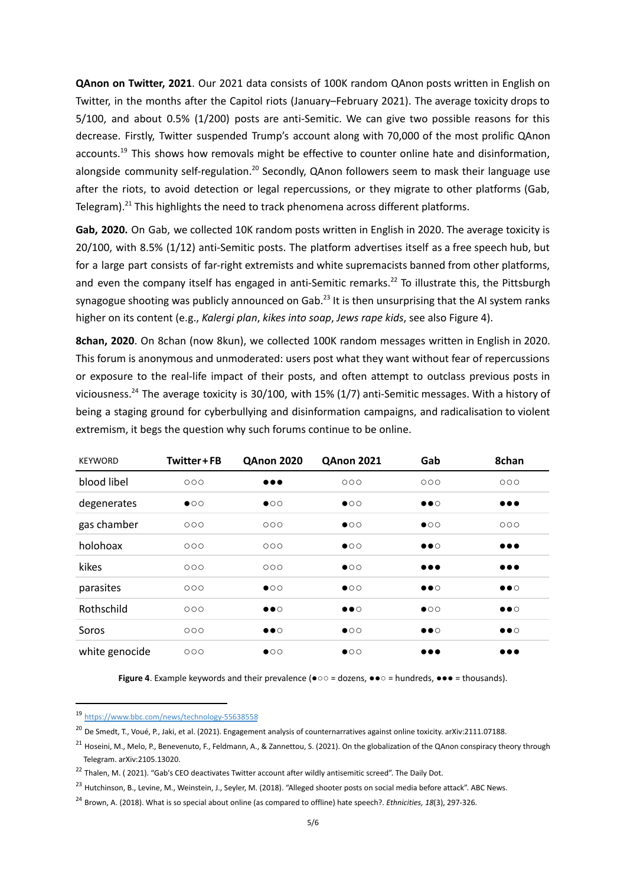**QAnon on Twitter, 2021**. Our 2021 data consists of 100K random QAnon posts written in English on Twitter, in the months after the Capitol riots (January–February 2021). The average toxicity drops to 5/100, and about 0.5% (1/200) posts are anti-Semitic. We can give two possible reasons for this decrease. Firstly, Twitter suspended Trump's account along with 70,000 of the most prolific QAnon accounts.<sup>19</sup> This shows how removals might be effective to counter online hate and disinformation, alongside community self-regulation.<sup>20</sup> Secondly, QAnon followers seem to mask their language use after the riots, to avoid detection or legal repercussions, or they migrate to other platforms (Gab, Telegram).<sup>21</sup> This highlights the need to track phenomena across different platforms.

**Gab, 2020.** On Gab, we collected 10K random posts written in English in 2020. The average toxicity is 20/100, with 8.5% (1/12) anti-Semitic posts. The platform advertises itself as a free speech hub, but for a large part consists of far-right extremists and white supremacists banned from other platforms, and even the company itself has engaged in anti-Semitic remarks.<sup>22</sup> To illustrate this, the Pittsburgh synagogue shooting was publicly announced on Gab.<sup>23</sup> It is then unsurprising that the AI system ranks higher on its content (e.g., *Kalergi plan*, *kikes into soap*, *Jews rape kids*, see also Figure 4).

**8chan, 2020**. On 8chan (now 8kun), we collected 100K random messages written in English in 2020. This forum is anonymous and unmoderated: users post what they want without fear of repercussions or exposure to the real-life impact of their posts, and often attempt to outclass previous posts in viciousness.<sup>24</sup> The average toxicity is 30/100, with 15% (1/7) anti-Semitic messages. With a history of being a staging ground for cyberbullying and disinformation campaigns, and radicalisation to violent extremism, it begs the question why such forums continue to be online.

| <b>KEYWORD</b> | Twitter + FB | <b>QAnon 2020</b>       | <b>QAnon 2021</b>     | Gab                     | 8chan                   |
|----------------|--------------|-------------------------|-----------------------|-------------------------|-------------------------|
| blood libel    | 000          | $\bullet\bullet\bullet$ | 000                   | 000                     | 000                     |
| degenerates    | $\bullet$ 00 | $\bullet$ 00            | $\bullet$ 00          | $\bullet\bullet\circ$   | $\bullet\bullet\bullet$ |
| gas chamber    | 000          | 000                     | $\bullet$ 00          | $\bullet$ 00            | 000                     |
| holohoax       | 000          | 000                     | $\bullet$ 00          | $\bullet\bullet\circ$   | $\bullet\bullet\bullet$ |
| kikes          | 000          | 000                     | $\bullet$ 00          | $\bullet\bullet\bullet$ | $\bullet\bullet\bullet$ |
| parasites      | 000          | $\bullet$ 00            | $\bullet$ 00          | $\bullet\bullet\circ$   | $\bullet\bullet\circ$   |
| Rothschild     | 000          | $\bullet\bullet\circ$   | $\bullet\bullet\circ$ | $\bullet$ 00            | $\bullet\bullet\circ$   |
| Soros          | 000          | $\bullet\bullet\circ$   | $\bullet$ 00          | $\bullet\bullet\circ$   | $\bullet\bullet\circ$   |
| white genocide | 000          | $\bullet$ 00            | $\bullet$ 00          | $\bullet\bullet\bullet$ | $\bullet\bullet\bullet$ |

**Figure 4**. Example keywords and their prevalence ( $\bullet \circ \circ$  = dozens,  $\bullet \bullet \circ$  = hundreds,  $\bullet \bullet \bullet$  = thousands).

<sup>19</sup> <https://www.bbc.com/news/technology-55638558>

<sup>&</sup>lt;sup>20</sup> De Smedt, T., Voué, P., Jaki, et al. (2021). Engagement analysis of counternarratives against online toxicity. arXiv:2111.07188.

<sup>&</sup>lt;sup>21</sup> Hoseini, M., Melo, P., Benevenuto, F., Feldmann, A., & Zannettou, S. (2021). On the globalization of the QAnon conspiracy theory through Telegram. arXiv:2105.13020.

<sup>&</sup>lt;sup>22</sup> Thalen, M. (2021). "Gab's CEO deactivates Twitter account after wildly antisemitic screed". The Daily Dot.

<sup>&</sup>lt;sup>23</sup> Hutchinson, B., Levine, M., Weinstein, J., Seyler, M. (2018). "Alleged shooter posts on social media before attack". ABC News.

<sup>24</sup> Brown, A. (2018). What is so special about online (as compared to offline) hate speech?. *Ethnicities, 18*(3), 297-326.